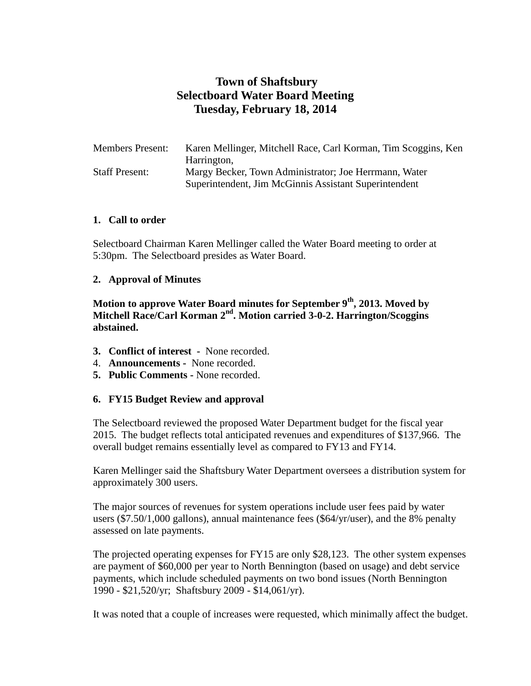# **Town of Shaftsbury Selectboard Water Board Meeting Tuesday, February 18, 2014**

| <b>Members Present:</b> | Karen Mellinger, Mitchell Race, Carl Korman, Tim Scoggins, Ken |
|-------------------------|----------------------------------------------------------------|
|                         | Harrington,                                                    |
| <b>Staff Present:</b>   | Margy Becker, Town Administrator; Joe Herrmann, Water          |
|                         | Superintendent, Jim McGinnis Assistant Superintendent          |

### **1. Call to order**

Selectboard Chairman Karen Mellinger called the Water Board meeting to order at 5:30pm. The Selectboard presides as Water Board.

### **2. Approval of Minutes**

**Motion to approve Water Board minutes for September 9th, 2013. Moved by Mitchell Race/Carl Korman 2nd. Motion carried 3-0-2. Harrington/Scoggins abstained.**

- **3. Conflict of interest** None recorded.
- 4. **Announcements -** None recorded.
- **5. Public Comments -** None recorded.

### **6. FY15 Budget Review and approval**

The Selectboard reviewed the proposed Water Department budget for the fiscal year 2015. The budget reflects total anticipated revenues and expenditures of \$137,966. The overall budget remains essentially level as compared to FY13 and FY14.

Karen Mellinger said the Shaftsbury Water Department oversees a distribution system for approximately 300 users.

The major sources of revenues for system operations include user fees paid by water users (\$7.50/1,000 gallons), annual maintenance fees (\$64/yr/user), and the 8% penalty assessed on late payments.

The projected operating expenses for FY15 are only \$28,123. The other system expenses are payment of \$60,000 per year to North Bennington (based on usage) and debt service payments, which include scheduled payments on two bond issues (North Bennington 1990 - \$21,520/yr; Shaftsbury 2009 - \$14,061/yr).

It was noted that a couple of increases were requested, which minimally affect the budget.